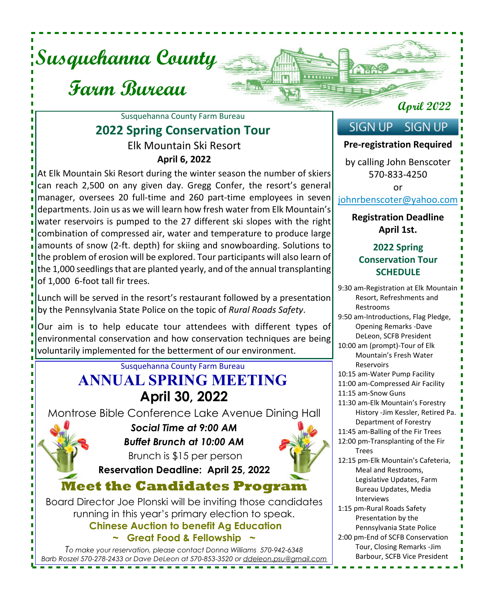

# **Farm Bureau**

### Elk Mountain Ski Resort **April 6, 2022** Susquehanna County Farm Bureau **2022 Spring Conservation Tour**

At Elk Mountain Ski Resort during the winter season the number of skiers can reach 2,500 on any given day. Gregg Confer, the resort's general manager, oversees 20 full-time and 260 part-time employees in seven departments. Join us as we will learn how fresh water from Elk Mountain's water reservoirs is pumped to the 27 different ski slopes with the right combination of compressed air, water and temperature to produce large amounts of snow (2-ft. depth) for skiing and snowboarding. Solutions to the problem of erosion will be explored. Tour participants will also learn of the 1,000 seedlings that are planted yearly, and of the annual transplanting of 1,000 6-foot tall fir trees.

Lunch will be served in the resort's restaurant followed by a presentation by the Pennsylvania State Police on the topic of *Rural Roads Safety*.

Our aim is to help educate tour attendees with different types of environmental conservation and how conservation techniques are being voluntarily implemented for the betterment of our environment.

## Susquehanna County Farm Bureau **ANNUAL SPRING MEETING April 30, 2022**

Montrose Bible Conference Lake Avenue Dining Hall



*Social Time at 9:00 AM Buffet Brunch at 10:00 AM* Brunch is \$15 per person



**Reservation Deadline: April 25, 2022 Meet the Candidates Program**

Board Director Joe Plonski will be inviting those candidates running in this year's primary election to speak. **Chinese Auction to benefit Ag Education ~ Great Food & Fellowship ~**

*To make your reservation, please contact Donna Williams 570-942-6348 Barb Roszel 570-278-2433 or Dave DeLeon at 570-853-3520 or ddeleon.psu@gmail.com* ----------------------------

### **April 2022**

#### **SIGN UP SIGN UP**

 $1111111$ 

#### **Pre-registration Required**

by calling John Benscoter 570-833-4250

or

#### johnrbenscoter@yahoo.com

#### **Registration Deadline April 1st.**

#### **2022 Spring Conservation Tour SCHEDULE**

9:30 am-Registration at Elk Mountain Resort, Refreshments and Restrooms 9:50 am-Introductions, Flag Pledge, Opening Remarks -Dave DeLeon, SCFB President 10:00 am (prompt)-Tour of Elk Mountain's Fresh Water Reservoirs 10:15 am-Water Pump Facility 11:00 am-Compressed Air Facility 11:15 am-Snow Guns 11:30 am-Elk Mountain's Forestry History -Jim Kessler, Retired Pa. Department of Forestry 11:45 am-Balling of the Fir Trees 12:00 pm-Transplanting of the Fir Trees 12:15 pm-Elk Mountain's Cafeteria, Meal and Restrooms, Legislative Updates, Farm Bureau Updates, Media Interviews 1:15 pm-Rural Roads Safety Presentation by the Pennsylvania State Police 2:00 pm-End of SCFB Conservation Tour, Closing Remarks -Jim Barbour, SCFB Vice President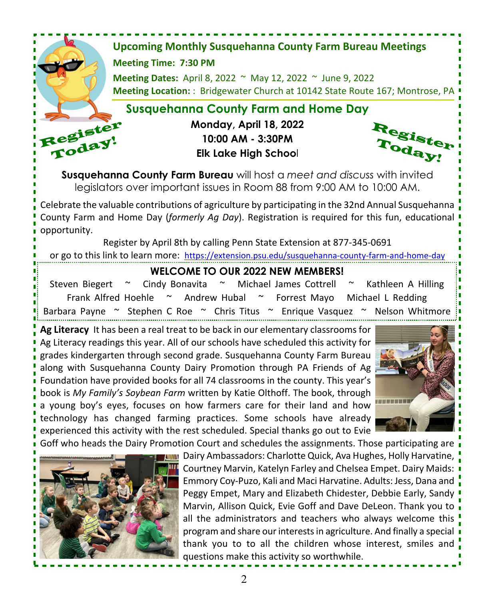

Goff who heads the Dairy Promotion Court and schedules the assignments. Those participating are  $\overline{\phantom{a}}$ 



Dairy Ambassadors: Charlotte Quick, Ava Hughes, Holly Harvatine, Courtney Marvin, Katelyn Farley and Chelsea Empet. Dairy Maids: Emmory Coy-Puzo, Kali and Maci Harvatine. Adults: Jess, Dana and Peggy Empet, Mary and Elizabeth Chidester, Debbie Early, Sandy " Marvin, Allison Quick, Evie Goff and Dave DeLeon. Thank you to all the administrators and teachers who always welcome this program and share our interests in agriculture. And finally a special thank you to to all the children whose interest, smiles and questions make this activity so worthwhile.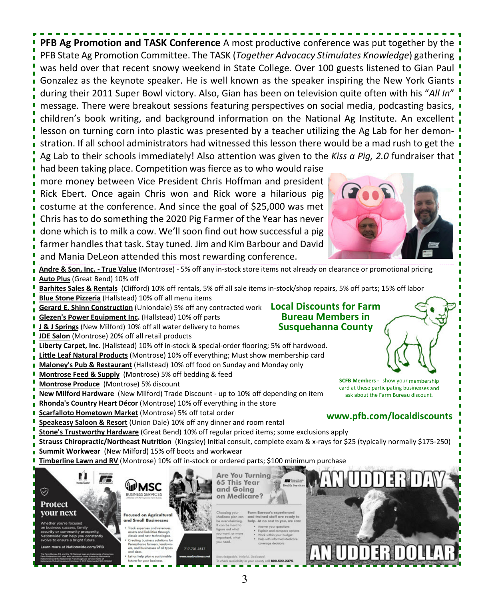**PFB Ag Promotion and TASK Conference** A most productive conference was put together by the PFB State Ag Promotion Committee. The TASK (*Together Advocacy Stimulates Knowledge*) gathering was held over that recent snowy weekend in State College. Over 100 guests listened to Gian Paul Gonzalez as the keynote speaker. He is well known as the speaker inspiring the New York Giants during their 2011 Super Bowl victory. Also, Gian has been on television quite often with his "*All In*" message. There were breakout sessions featuring perspectives on social media, podcasting basics, children's book writing, and background information on the National Ag Institute. An excellent lesson on turning corn into plastic was presented by a teacher utilizing the Ag Lab for her demonstration. If all school administrators had witnessed this lesson there would be a mad rush to get the  $\frac{1}{1}$ Ag Lab to their schools immediately! Also attention was given to the *Kiss a Pig, 2.0* fundraiser that had been taking place. Competition was fierce as to who would raise more money between Vice President Chris Hoffman and president Rick Ebert. Once again Chris won and Rick wore a hilarious pig costume at the conference. And since the goal of \$25,000 was met Chris has to do something the 2020 Pig Farmer of the Year has never done which is to milk a cow. We'll soon find out how successful a pig farmer handles that task. Stay tuned. Jim and Kim Barbour and David

and Mania DeLeon attended this most rewarding conference.



**Bureau Members in Susquehanna County**

**www.pfb.com/localdiscounts**

**SCFB Members -** show your membership card at these participating businesses and ask about the Farm Bureau discount.

**Andre & Son, Inc. - True Value** (Montrose) - 5% off any in-stock store items not already on clearance or promotional pricing **Auto Plus** (Great Bend) 10% off

- **Barhites Sales & Rentals** (Clifford) 10% off rentals, 5% off all sale items in-stock/shop repairs, 5% off parts; 15% off labor
- **Blue Stone Pizzeria** (Hallstead) 10% off all menu items
- **Gerard E. Shinn Construction** (Uniondale) 5% off any contracted work **Local Discounts for Farm**
- **Glezen's Power Equipment Inc.** (Hallstead) 10% off parts
- **J & J Springs** (New Milford) 10% off all water delivery to homes
- **JDE Salon** (Montrose) 20% off all retail products
- **Liberty Carpet, Inc.** (Hallstead) 10% off in-stock & special-order flooring; 5% off hardwood.
- **Little Leaf Natural Products** (Montrose) 10% off everything; Must show membership card
- **Maloney's Pub & Restaurant** (Hallstead) 10% off food on Sunday and Monday only
- **Montrose Feed & Supply** (Montrose) 5% off bedding & feed
- **Montrose Produce** (Montrose) 5% discount
- **New Milford Hardware** (New Milford) Trade Discount up to 10% off depending on item
- **Rhonda's Country Heart Décor** (Montrose) 10% off everything in the store
- **Scarfalloto Hometown Market** (Montrose) 5% off total order
- **Speakeasy Saloon & Resort** (Union Dale) 10% off any dinner and room rental
- **Stone's Trustworthy Hardware** (Great Bend) 10% off regular priced items; some exclusions apply
- **Strauss Chiropractic/Northeast Nutrition** (Kingsley) Initial consult, complete exam & x-rays for \$25 (typically normally \$175-250)
- **Summit Workwear** (New Milford) 15% off boots and workwear
- **Timberline Lawn and RV** (Montrose) 10% off in-stock or ordered parts; \$100 minimum purchase